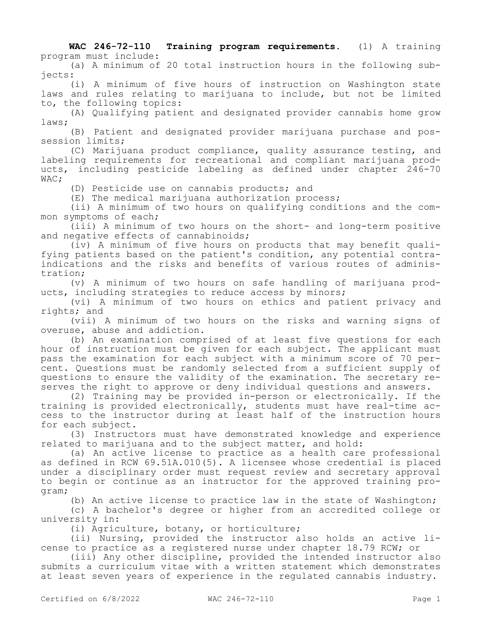**WAC 246-72-110 Training program requirements.** (1) A training program must include:

(a) A minimum of 20 total instruction hours in the following subjects:

(i) A minimum of five hours of instruction on Washington state laws and rules relating to marijuana to include, but not be limited to, the following topics:

(A) Qualifying patient and designated provider cannabis home grow laws;

(B) Patient and designated provider marijuana purchase and possession limits;

(C) Marijuana product compliance, quality assurance testing, and labeling requirements for recreational and compliant marijuana products, including pesticide labeling as defined under chapter 246-70 WAC;

(D) Pesticide use on cannabis products; and

(E) The medical marijuana authorization process;

(ii) A minimum of two hours on qualifying conditions and the common symptoms of each;

(iii) A minimum of two hours on the short- and long-term positive and negative effects of cannabinoids;

(iv) A minimum of five hours on products that may benefit qualifying patients based on the patient's condition, any potential contraindications and the risks and benefits of various routes of administration;

(v) A minimum of two hours on safe handling of marijuana products, including strategies to reduce access by minors;

(vi) A minimum of two hours on ethics and patient privacy and rights; and

(vii) A minimum of two hours on the risks and warning signs of overuse, abuse and addiction.

(b) An examination comprised of at least five questions for each hour of instruction must be given for each subject. The applicant must pass the examination for each subject with a minimum score of 70 percent. Questions must be randomly selected from a sufficient supply of questions to ensure the validity of the examination. The secretary reserves the right to approve or deny individual questions and answers.

(2) Training may be provided in-person or electronically. If the training is provided electronically, students must have real-time access to the instructor during at least half of the instruction hours for each subject.

(3) Instructors must have demonstrated knowledge and experience related to marijuana and to the subject matter, and hold:

(a) An active license to practice as a health care professional as defined in RCW 69.51A.010(5). A licensee whose credential is placed under a disciplinary order must request review and secretary approval to begin or continue as an instructor for the approved training program;

(b) An active license to practice law in the state of Washington;

(c) A bachelor's degree or higher from an accredited college or university in:

(i) Agriculture, botany, or horticulture;

(ii) Nursing, provided the instructor also holds an active license to practice as a registered nurse under chapter 18.79 RCW; or

(iii) Any other discipline, provided the intended instructor also submits a curriculum vitae with a written statement which demonstrates at least seven years of experience in the regulated cannabis industry.